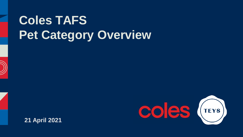# **Coles TAFS Pet Category Overview**





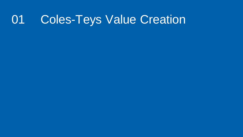# 01 Coles-Teys Value Creation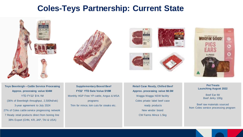#### **Coles-Teys Partnership: Current State**











**Teys Beenleigh – Cattle Service Processing Approx. processing value \$34M** YTD FY22' \$14.1M (36% of Beenleigh throughput, 2,500hd/wk) 3-year agreement to July 2024 27% of Coles cattle service progressing network 7 Ready retail products direct from boning line

38% Export (CHN, KR, JAP, TAI & USA)

**Supplementary Boxed Beef FY22' YTD Sale Value \$10M** Monthly HGP Free YP cattle, Angus & MSA programs Trim for mince, loin cuts for steaks etc.

**Retail Case Ready, Chilled Beef Approx. processing value \$8.5M** Wagga Wagga NSW facility Coles private label beef case ready products New vendor brand CW Farms Mince 1.5kg



**Pet Treats Launching August 2022**

> Beef Ear IW Beef Jerky 100g

Beef raw materials sourced from Coles service processing program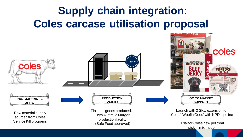# **Supply chain integration: Coles carcase utilisation proposal**



pick n' mix model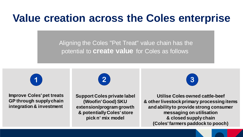# **Value creation across the Coles enterprise**

Aligning the Coles "Pet Treat" value chain has the potential to **create value** for Coles as follows



**Improve Coles' pet treats GP through supply chain integration & investment**



**Support Coles private label (Woofin' Good) SKU extension/program growth & potentially Coles' store pick n' mix model**

**Utilise Coles owned cattle-beef & other livestock primary processing items and ability to provide strong consumer messaging on utilisation & closed supply chain (Coles'farmers paddock to pooch)**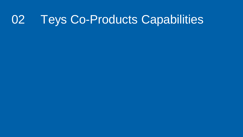# 02 Teys Co-Products Capabilities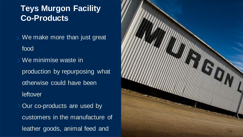#### **Teys Murgon Facility Co-Products**

- We make more than just great food
- We minimise waste in production by repurposing what otherwise could have been **leftover** > Our co-products are used by customers in the manufacture of

leather goods, animal feed and

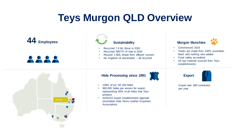## **Teys Murgon QLD Overview**

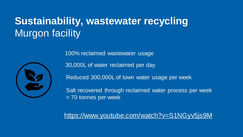## **Sustainability, wastewater recycling** Murgon facility



100% reclaimed wastewater usage

30,000L of water reclaimed per day

Reduced 300,000L of town water usage per week

Salt recovered through reclaimed water process per week = 70 tonnes per week

<https://www.youtube.com/watch?v=S1NGyv5js9M>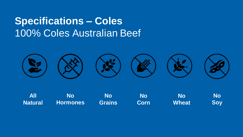## **Specifications – Coles** 100% Coles Australian Beef



**All Natural No Grains No Corn No Wheat No Soy No Hormones**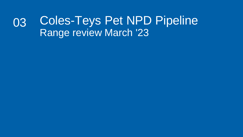#### Coles-Teys Pet NPD Pipeline Range review March '23 03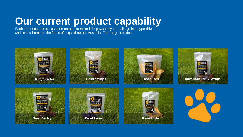## **Our current product capability**

Each one of our treats has been created to make little paws tippy tap, tails go into hyperdrive and smiles break on the faces of dogs all across Australia. The range includes:

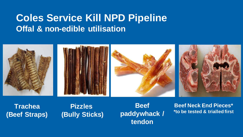#### **Coles Service Kill NPD Pipeline Offal & non-edible utilisation**



**Trachea (Beef Straps)**

**Pizzles (Bully Sticks)**

**Beef paddywhack / tendon**

**Beef Neck End Pieces\* \*to be tested & trialled first**